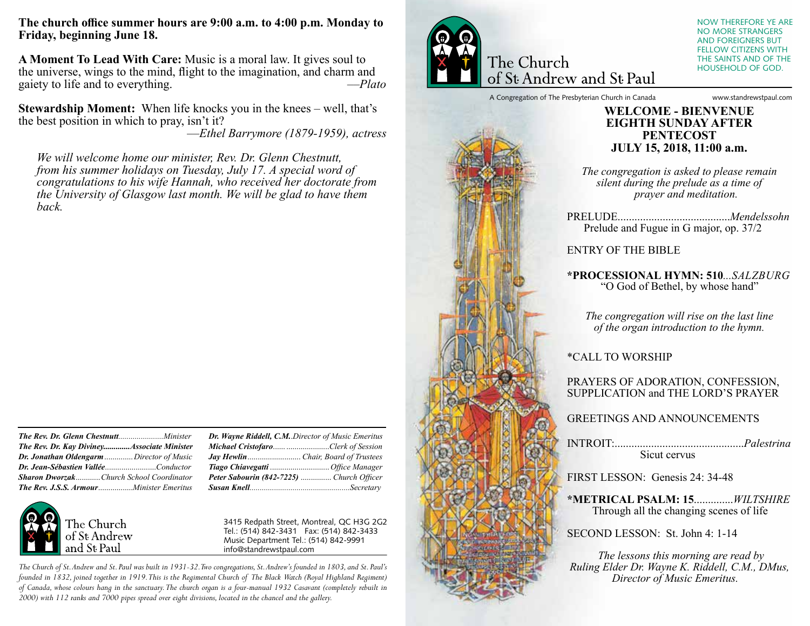**The church office summer hours are 9:00 a.m. to 4:00 p.m. Monday to Friday, beginning June 18.**

**A Moment To Lead With Care:** Music is a moral law. It gives soul to the universe, wings to the mind, flight to the imagination, and charm and paiety to life and to everything.  $-Plato$ gaiety to life and to everything.

**Stewardship Moment:** When life knocks you in the knees – well, that's the best position in which to pray, isn't it?

*––Ethel Barrymore (1879-1959), actress* 

*We will welcome home our minister, Rev. Dr. Glenn Chestnutt, from his summer holidays on Tuesday, July 17. A special word of congratulations to his wife Hannah, who received her doctorate from the University of Glasgow last month. We will be glad to have them back.*

| The Rev. Dr. Kay DivineyAssociate Minister      |  |
|-------------------------------------------------|--|
| Dr. Jonathan Oldengarm  Director of Music       |  |
|                                                 |  |
| <b>Sharon Dworzak</b> Church School Coordinator |  |
|                                                 |  |



*Dr. Wayne Riddell, C.M.*.*Director of Music Emeritus Michael Cristofaro*...... .....................*Clerk of Session Jay Hewlin*.......................... *Chair, Board of Trustees Tiago Chiavegatti* ............................. *Office Manager Peter Sabourin (842-7225)* ............... *Church Officer Susan Knell.................................................Secretary*

3415 Redpath Street, Montreal, QC H3G 2G2 Tel.: (514) 842-3431 Fax: (514) 842-3433 Music Department Tel.: (514) 842-9991 info@standrewstpaul.com

The Church of St. Andrew and St. Paul was built in 1931-32. Two congregations, St. Andrew's founded in 1803, and St. Paul's founded in 1832, joined together in 1919. This is the Regimental Church of The Black Watch (Royal Highland Regiment) of Canada, whose colours hang in the sanctuary. The church organ is a four-manual 1932 Casavant (completely rebuilt in 2000) with 112 ranks and 7000 pipes spread over eight divisions, located in the chancel and the gallery.



of St Andrew and St Paul

NOW THEREFORE YE ARE NO MORE STRANGERS AND FOREIGNERS BUT FELLOW CITIZENS WITH THE SAINTS AND OF THE HOUSEHOLD OF GOD.

A Congregation of The Presbyterian Church in Canada www.standrewstpaul.com

### **WELCOME - BIENVENUE EIGHTH SUNDAY AFTER PENTECOST JULY 15, 2018, 11:00 a.m.**

*The congregation is asked to please remain silent during the prelude as a time of prayer and meditation.*

PRELUDE........................................*Mendelssohn* Prelude and Fugue in G major, op. 37/2

ENTRY OF THE BIBLE

**\*PROCESSIONAL HYMN: 510***...SALZBURG* "O God of Bethel, by whose hand"

*The congregation will rise on the last line of the organ introduction to the hymn.*

\*CALL TO WORSHIP

#### PRAYERS OF ADORATION, CONFESSION, SUPPLICATION and THE LORD'S PRAYER

GREETINGS AND ANNOUNCEMENTS

INTROIT:..............................................*Palestrina* Sicut cervus

FIRST LESSON: Genesis 24: 34-48

**\*METRICAL PSALM: 15**..............*WILTSHIRE* Through all the changing scenes of life

SECOND LESSON: St. John 4: 1-14

 *The lessons this morning are read by Ruling Elder Dr. Wayne K. Riddell, C.M., DMus, Director of Music Emeritus.*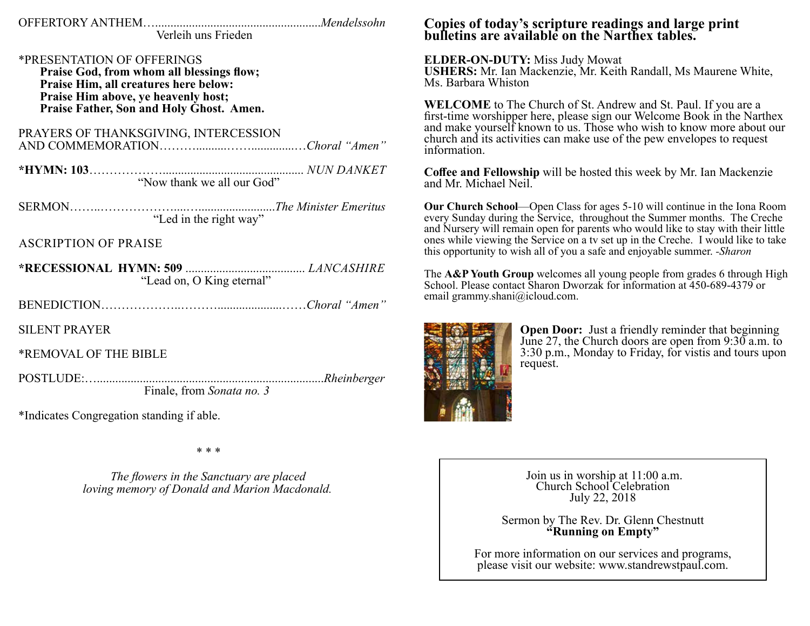Verleih uns Frieden

\*PRESENTATION OF OFFERINGS

Praise God, from whom all blessings flow; Praise Him, all creatures here below: Praise Him above, ye heavenly host; Praise Father, Son and Holy Ghost. Amen.

PRAYERS OF THANKSGIVING, INTERCESSION 

"Now thank we all our God"

**ASCRIPTION OF PRAISE** 

"Lead on, O King eternal"

**SILENT PRAYER** 

\*REMOVAL OF THE BIBLE

Finale, from Sonata no. 3

\*Indicates Congregation standing if able.

\* \* \*

The flowers in the Sanctuary are placed loving memory of Donald and Marion Macdonald.

## Copies of today's scripture readings and large print bulletins are available on the Narthex tables.

**ELDER-ON-DUTY: Miss Judy Mowat USHERS:** Mr. Ian Mackenzie, Mr. Keith Randall, Ms Maurene White, Ms. Barbara Whiston

WELCOME to The Church of St. Andrew and St. Paul. If you are a first-time worshipper here, please sign our Welcome Book in the Narthex and make yourself known to us. Those who wish to know more about our church and its activities can make use of the pew envelopes to request information.

Coffee and Fellowship will be hosted this week by Mr. Ian Mackenzie and Mr. Michael Neil.

Our Church School—Open Class for ages 5-10 will continue in the Iona Room every Sunday during the Service, throughout the Summer months. The Creche and Nursery will remain open for parents who would like to stay with their little ones while viewing the Service on a tv set up in the Creche. I would like to take this opportunity to wish all of you a safe and enjoyable summer. -Sharon

The A&P Youth Group welcomes all young people from grades 6 through High School. Please contact Sharon Dworzak for information at 450-689-4379 or email grammy.shani@icloud.com.



**Open Door:** Just a friendly reminder that beginning June 27, the Church doors are open from  $9:30$  a.m. to 3:30 p.m., Monday to Friday, for vistis and tours upon request.

Join us in worship at 11:00 a.m. Church School Celebration July 22, 2018

Sermon by The Rev. Dr. Glenn Chestnutt "Running on Empty"

For more information on our services and programs, please visit our website: www.standrewstpaul.com.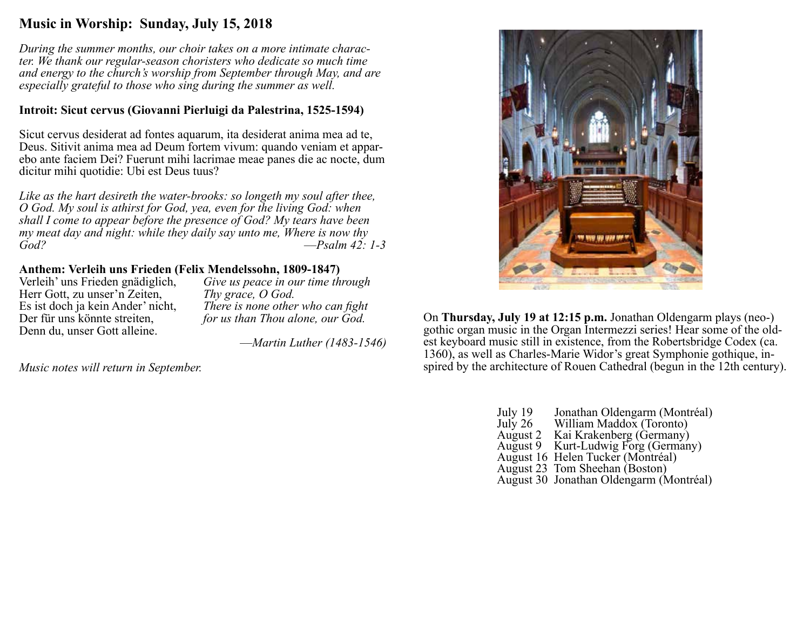# **Music in Worship: Sunday, July 15, 2018**

*During the summer months, our choir takes on a more intimate character. We thank our regular-season choristers who dedicate so much time and energy to the church's worship from September through May, and are especially grateful to those who sing during the summer as well.*

# **Introit: Sicut cervus (Giovanni Pierluigi da Palestrina, 1525-1594)**

Sicut cervus desiderat ad fontes aquarum, ita desiderat anima mea ad te, Deus. Sitivit anima mea ad Deum fortem vivum: quando veniam et apparebo ante faciem Dei? Fuerunt mihi lacrimae meae panes die ac nocte, dum dicitur mihi quotidie: Ubi est Deus tuus?

*Like as the hart desireth the water-brooks: so longeth my soul after thee, O God. My soul is athirst for God, yea, even for the living God: when shall I come to appear before the presence of God? My tears have been my meat day and night: while they daily say unto me, Where is now thy God? ––Psalm 42: 1-3*

# **Anthem: Verleih uns Frieden (Felix Mendelssohn, 1809-1847)**

Herr Gott, zu unser'n Zeiten,<br>*Es* ist doch ja kein Ander' nicht, Denn du, unser Gott alleine.

Give us peace in our time through *Thy grace, O God.* There is none other who can fight Der für uns könnte streiten, *for us than Thou alone, our God.*

*––Martin Luther (1483-1546)*

*Music notes will return in September.*



On **Thursday, July 19 at 12:15 p.m.** Jonathan Oldengarm plays (neo-) est keyboard music still in existence, from the Robertsbridge Codex (ca. 1360), as well as Charles-Marie Widor's great Symphonie gothique, inspired by the architecture of Rouen Cathedral (begun in the 12th century).

| July 19   | Jonathan Oldengarm (Montréal)           |
|-----------|-----------------------------------------|
| July $26$ | William Maddox (Toronto)                |
| August 2  | Kai Krakenberg (Germany)                |
|           | August 9 Kurt-Ludwig Forg (Germany)     |
|           | August 16 Helen Tucker (Montréal)       |
|           | August 23 Tom Sheehan (Boston)          |
|           | August 30 Jonathan Oldengarm (Montréal) |